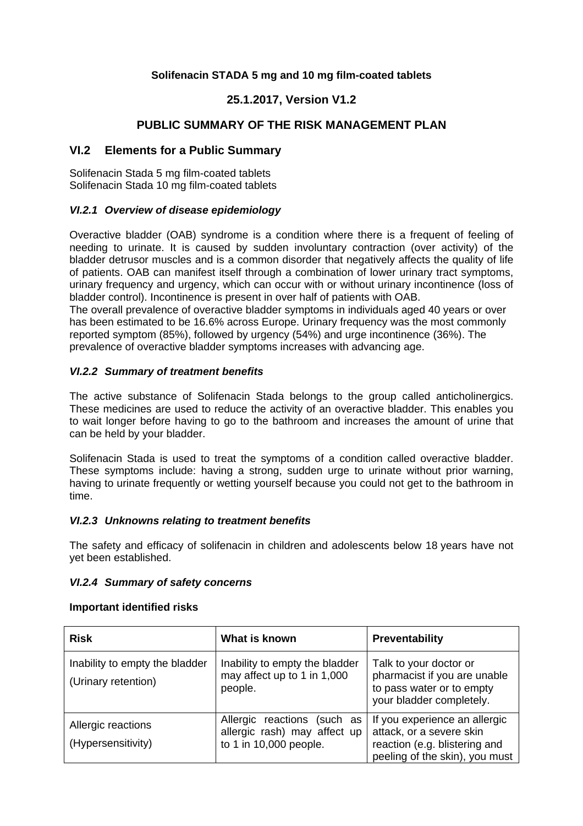# **Solifenacin STADA 5 mg and 10 mg film-coated tablets**

# **25.1.2017, Version V1.2**

# **PUBLIC SUMMARY OF THE RISK MANAGEMENT PLAN**

# **VI.2 Elements for a Public Summary**

Solifenacin Stada 5 mg film-coated tablets Solifenacin Stada 10 mg film-coated tablets

## *VI.2.1 Overview of disease epidemiology*

Overactive bladder (OAB) syndrome is a condition where there is a frequent of feeling of needing to urinate. It is caused by sudden involuntary contraction (over activity) of the bladder detrusor muscles and is a common disorder that negatively affects the quality of life of patients. OAB can manifest itself through a combination of lower urinary tract symptoms, urinary frequency and urgency, which can occur with or without urinary incontinence (loss of bladder control). Incontinence is present in over half of patients with OAB.

The overall prevalence of overactive bladder symptoms in individuals aged 40 years or over has been estimated to be 16.6% across Europe. Urinary frequency was the most commonly reported symptom (85%), followed by urgency (54%) and urge incontinence (36%). The prevalence of overactive bladder symptoms increases with advancing age.

## *VI.2.2 Summary of treatment benefits*

The active substance of Solifenacin Stada belongs to the group called anticholinergics. These medicines are used to reduce the activity of an overactive bladder. This enables you to wait longer before having to go to the bathroom and increases the amount of urine that can be held by your bladder.

Solifenacin Stada is used to treat the symptoms of a condition called overactive bladder. These symptoms include: having a strong, sudden urge to urinate without prior warning, having to urinate frequently or wetting yourself because you could not get to the bathroom in time.

#### *VI.2.3 Unknowns relating to treatment benefits*

The safety and efficacy of solifenacin in children and adolescents below 18 years have not yet been established.

#### *VI.2.4 Summary of safety concerns*

#### **Important identified risks**

| <b>Risk</b>                                           | What is known                                                                         | Preventability                                                                                                               |
|-------------------------------------------------------|---------------------------------------------------------------------------------------|------------------------------------------------------------------------------------------------------------------------------|
| Inability to empty the bladder<br>(Urinary retention) | Inability to empty the bladder<br>may affect up to 1 in 1,000<br>people.              | Talk to your doctor or<br>pharmacist if you are unable<br>to pass water or to empty<br>your bladder completely.              |
| Allergic reactions<br>(Hypersensitivity)              | Allergic reactions (such as<br>allergic rash) may affect up<br>to 1 in 10,000 people. | If you experience an allergic<br>attack, or a severe skin<br>reaction (e.g. blistering and<br>peeling of the skin), you must |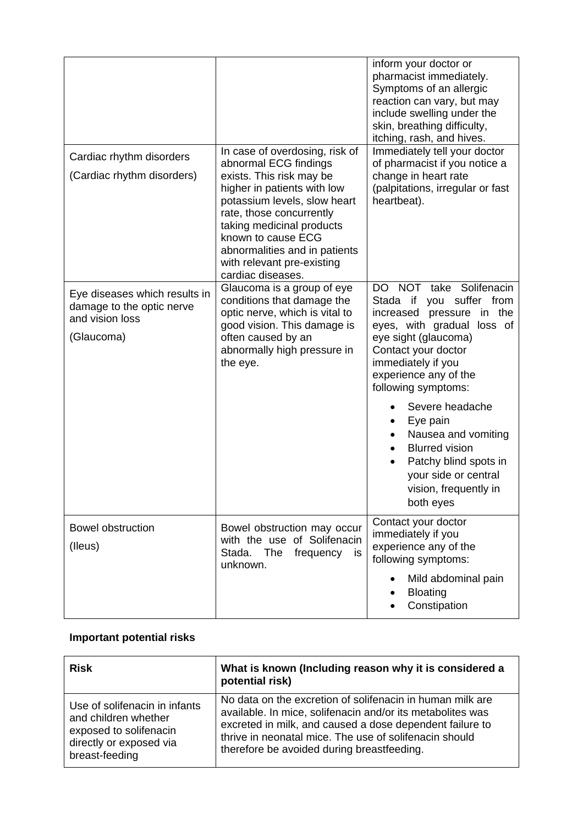|                                                                                             |                                                                                                                                                                                                                                                                                                                       | inform your doctor or<br>pharmacist immediately.<br>Symptoms of an allergic<br>reaction can vary, but may<br>include swelling under the<br>skin, breathing difficulty,<br>itching, rash, and hives.                                                                                                                                                                                                                       |
|---------------------------------------------------------------------------------------------|-----------------------------------------------------------------------------------------------------------------------------------------------------------------------------------------------------------------------------------------------------------------------------------------------------------------------|---------------------------------------------------------------------------------------------------------------------------------------------------------------------------------------------------------------------------------------------------------------------------------------------------------------------------------------------------------------------------------------------------------------------------|
| Cardiac rhythm disorders<br>(Cardiac rhythm disorders)                                      | In case of overdosing, risk of<br>abnormal ECG findings<br>exists. This risk may be<br>higher in patients with low<br>potassium levels, slow heart<br>rate, those concurrently<br>taking medicinal products<br>known to cause ECG<br>abnormalities and in patients<br>with relevant pre-existing<br>cardiac diseases. | Immediately tell your doctor<br>of pharmacist if you notice a<br>change in heart rate<br>(palpitations, irregular or fast<br>heartbeat).                                                                                                                                                                                                                                                                                  |
| Eye diseases which results in<br>damage to the optic nerve<br>and vision loss<br>(Glaucoma) | Glaucoma is a group of eye<br>conditions that damage the<br>optic nerve, which is vital to<br>good vision. This damage is<br>often caused by an<br>abnormally high pressure in<br>the eye.                                                                                                                            | DO NOT take Solifenacin<br>you suffer from<br>Stada if<br>increased pressure in the<br>eyes, with gradual loss of<br>eye sight (glaucoma)<br>Contact your doctor<br>immediately if you<br>experience any of the<br>following symptoms:<br>Severe headache<br>Eye pain<br>Nausea and vomiting<br><b>Blurred vision</b><br>$\bullet$<br>Patchy blind spots in<br>your side or central<br>vision, frequently in<br>both eyes |
| <b>Bowel obstruction</b><br>(lleus)                                                         | Bowel obstruction may occur<br>with the use of Solifenacin<br>Stada.<br>The<br>is<br>frequency<br>unknown.                                                                                                                                                                                                            | Contact your doctor<br>immediately if you<br>experience any of the<br>following symptoms:<br>Mild abdominal pain<br><b>Bloating</b><br>Constipation                                                                                                                                                                                                                                                                       |

# **Important potential risks**

| <b>Risk</b>                   | What is known (Including reason why it is considered a<br>potential risk) |
|-------------------------------|---------------------------------------------------------------------------|
| Use of solifenacin in infants | No data on the excretion of solifenacin in human milk are                 |
| and children whether          | available. In mice, solifenacin and/or its metabolites was                |
| exposed to solifenacin        | excreted in milk, and caused a dose dependent failure to                  |
| directly or exposed via       | thrive in neonatal mice. The use of solifenacin should                    |
| breast-feeding                | therefore be avoided during breastfeeding.                                |